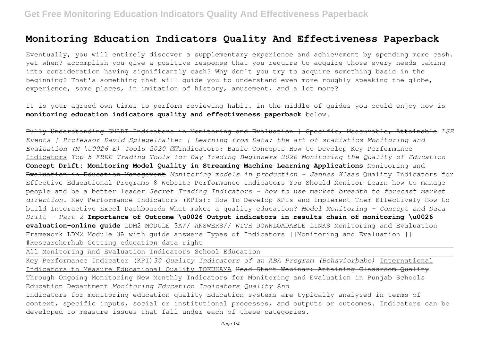# **Monitoring Education Indicators Quality And Effectiveness Paperback**

Eventually, you will entirely discover a supplementary experience and achievement by spending more cash. yet when? accomplish you give a positive response that you require to acquire those every needs taking into consideration having significantly cash? Why don't you try to acquire something basic in the beginning? That's something that will guide you to understand even more roughly speaking the globe, experience, some places, in imitation of history, amusement, and a lot more?

It is your agreed own times to perform reviewing habit. in the middle of guides you could enjoy now is **monitoring education indicators quality and effectiveness paperback** below.

Fully Understanding SMART Indicators in Monitoring and Evaluation | Specific, Measurable, Attainable *LSE Events | Professor David Spiegelhalter | Learning from Data: the art of statistics Monitoring and Evaluation (M \u0026 E) Tools 2020* Indicators: Basic Concepts How to Develop Key Performance Indicators *Top 5 FREE Trading Tools for Day Trading Beginners 2020 Monitoring the Quality of Education* **Concept Drift: Monitoring Model Quality in Streaming Machine Learning Applications** Monitoring and Evaluation in Education Management *Monitoring models in production - Jannes Klaas* Quality Indicators for Effective Educational Programs 8 Website Performance Indicators You Should Monitor Learn how to manage people and be a better leader *Secret Trading Indicators - how to use market breadth to forecast market direction.* Key Performance Indicators (KPIs): How To Develop KPIs and Implement Them Effectively How to build Interactive Excel Dashboards What makes a quality education? *Model Monitoring - Concept and Data Drift - Part 2* **Importance of Outcome \u0026 Output indicators in results chain of monitoring \u0026 evaluation–online guide** LDM2 MODULE 3A// ANSWERS// WITH DOWNLOADABLE LINKS Monitoring and Evaluation Framework LDM2 Module 3A with guide answers Types of Indicators ||Monitoring and Evaluation || #Researcherhub Getting education data right

All Monitoring And Evaluation Indicators School Education

Key Performance Indicator (KPI)*30 Quality Indicators of an ABA Program (Behaviorbabe)* International Indicators to Measure Educational Quality TOKUHAMA Head Start Webinar: Attaining Classroom Quality Through Ongoing Monitoring New Monthly Indicators for Monitoring and Evaluation in Punjab Schools Education Department *Monitoring Education Indicators Quality And*

Indicators for monitoring education quality Education systems are typically analysed in terms of context, specific inputs, social or institutional processes, and outputs or outcomes. Indicators can be developed to measure issues that fall under each of these categories.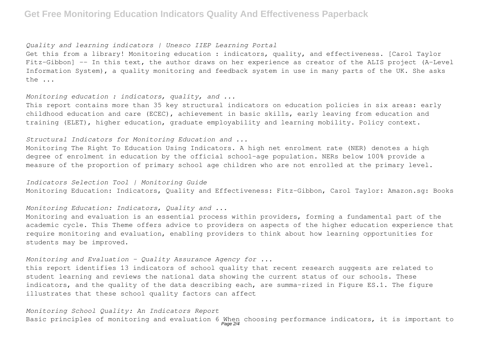## **Get Free Monitoring Education Indicators Quality And Effectiveness Paperback**

### *Quality and learning indicators | Unesco IIEP Learning Portal*

Get this from a library! Monitoring education : indicators, quality, and effectiveness. [Carol Taylor Fitz-Gibbon] -- In this text, the author draws on her experience as creator of the ALIS project (A-Level Information System), a quality monitoring and feedback system in use in many parts of the UK. She asks the ...

## *Monitoring education : indicators, quality, and ...*

This report contains more than 35 key structural indicators on education policies in six areas: early childhood education and care (ECEC), achievement in basic skills, early leaving from education and training (ELET), higher education, graduate employability and learning mobility. Policy context.

## *Structural Indicators for Monitoring Education and ...*

Monitoring The Right To Education Using Indicators. A high net enrolment rate (NER) denotes a high degree of enrolment in education by the official school-age population. NERs below 100% provide a measure of the proportion of primary school age children who are not enrolled at the primary level.

## *Indicators Selection Tool | Monitoring Guide* Monitoring Education: Indicators, Quality and Effectiveness: Fitz-Gibbon, Carol Taylor: Amazon.sg: Books

*Monitoring Education: Indicators, Quality and ...*

Monitoring and evaluation is an essential process within providers, forming a fundamental part of the academic cycle. This Theme offers advice to providers on aspects of the higher education experience that require monitoring and evaluation, enabling providers to think about how learning opportunities for students may be improved.

## *Monitoring and Evaluation - Quality Assurance Agency for ...*

this report identifies 13 indicators of school quality that recent research suggests are related to student learning and reviews the national data showing the current status of our schools. These indicators, and the quality of the data describing each, are summa-rized in Figure ES.1. The figure illustrates that these school quality factors can affect

# *Monitoring School Quality: An Indicators Report* Basic principles of monitoring and evaluation 6 When choosing performance indicators, it is important to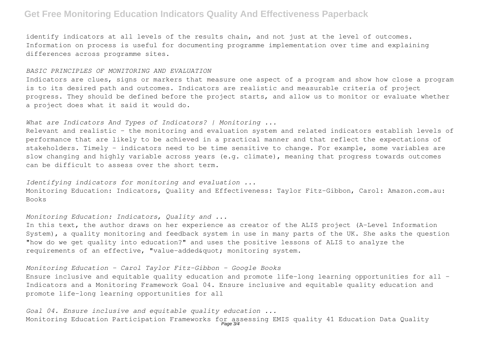## **Get Free Monitoring Education Indicators Quality And Effectiveness Paperback**

identify indicators at all levels of the results chain, and not just at the level of outcomes. Information on process is useful for documenting programme implementation over time and explaining differences across programme sites.

#### *BASIC PRINCIPLES OF MONITORING AND EVALUATION*

Indicators are clues, signs or markers that measure one aspect of a program and show how close a program is to its desired path and outcomes. Indicators are realistic and measurable criteria of project progress. They should be defined before the project starts, and allow us to monitor or evaluate whether a project does what it said it would do.

### *What are Indicators And Types of Indicators? | Monitoring ...*

Relevant and realistic – the monitoring and evaluation system and related indicators establish levels of performance that are likely to be achieved in a practical manner and that reflect the expectations of stakeholders. Timely – indicators need to be time sensitive to change. For example, some variables are slow changing and highly variable across years (e.g. climate), meaning that progress towards outcomes can be difficult to assess over the short term.

*Identifying indicators for monitoring and evaluation ...* Monitoring Education: Indicators, Quality and Effectiveness: Taylor Fitz-Gibbon, Carol: Amazon.com.au: Books

## *Monitoring Education: Indicators, Quality and ...*

In this text, the author draws on her experience as creator of the ALIS project (A-Level Information System), a quality monitoring and feedback system in use in many parts of the UK. She asks the question "how do we get quality into education?" and uses the positive lessons of ALIS to analyze the requirements of an effective, "value-added  $q$  and  $r$  monitoring system.

## *Monitoring Education - Carol Taylor Fitz-Gibbon - Google Books*

Ensure inclusive and equitable quality education and promote life-long learning opportunities for all – Indicators and a Monitoring Framework Goal 04. Ensure inclusive and equitable quality education and promote life-long learning opportunities for all

*Goal 04. Ensure inclusive and equitable quality education ...* Monitoring Education Participation Frameworks for assessing EMIS quality 41 Education Data Quality<br>Page 3/4